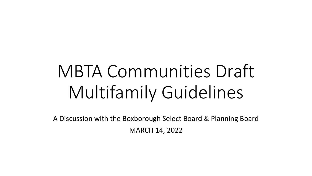# MBTA Communities Draft Multifamily Guidelines

A Discussion with the Boxborough Select Board & Planning Board MARCH 14, 2022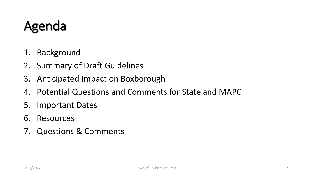#### Agenda

- 1. Background
- 2. Summary of Draft Guidelines
- 3. Anticipated Impact on Boxborough
- 4. Potential Questions and Comments for State and MAPC
- 5. Important Dates
- 6. Resources
- 7. Questions & Comments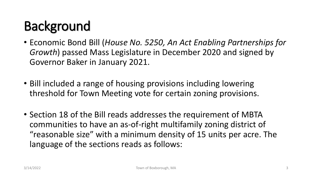## **Background**

- Economic Bond Bill (*House No. 5250, An Act Enabling Partnerships for Growth*) passed Mass Legislature in December 2020 and signed by Governor Baker in January 2021.
- Bill included a range of housing provisions including lowering threshold for Town Meeting vote for certain zoning provisions.
- Section 18 of the Bill reads addresses the requirement of MBTA communities to have an as-of-right multifamily zoning district of "reasonable size" with a minimum density of 15 units per acre. The language of the sections reads as follows: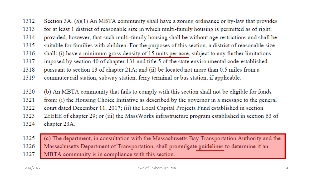Section 3A. (a)(1) An MBTA community shall have a zoning ordinance or by-law that provides 1312 1313 for at least 1 district of reasonable size in which multi-family housing is permitted as of right; provided, however, that such multi-family housing shall be without age restrictions and shall be 1314 1315 suitable for families with children. For the purposes of this section, a district of reasonable size shall: (i) have a minimum gross density of 15 units per acre, subject to any further limitations 1316 imposed by section 40 of chapter 131 and title 5 of the state environmental code established 1317 1318 pursuant to section 13 of chapter 21A; and (ii) be located not more than 0.5 miles from a 1319 commuter rail station, subway station, ferry terminal or bus station, if applicable.

(b) An MBTA community that fails to comply with this section shall not be eligible for funds 1320

1321 from: (i) the Housing Choice Initiative as described by the governor in a message to the general

court dated December 11, 2017; (ii) the Local Capital Projects Fund established in section 1322

1323 2EEEE of chapter 29; or (iii) the MassWorks infrastructure program established in section 63 of

1324 chapter 23A.

(c) The department, in consultation with the Massachusetts Bay Transportation Authority and the 1325 Massachusetts Department of Transportation, shall promulgate guidelines to determine if an 1326 MBTA community is in compliance with this section. 1327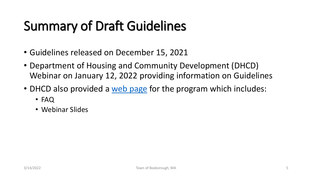## Summary of Draft Guidelines

- Guidelines released on December 15, 2021
- Department of Housing and Community Development (DHCD) Webinar on January 12, 2022 providing information on Guidelines
- DHCD also provided a [web page](https://www.mass.gov/info-details/multi-family-zoning-requirement-for-mbta-communities?auHash=H6C2Re7HQiBiIYWceg3B2ApnZHjOrLEUXqR683gja34) for the program which includes:
	- FAQ
	- Webinar Slides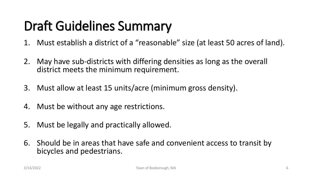- 1. Must establish a district of a "reasonable" size (at least 50 acres of land).
- 2. May have sub-districts with differing densities as long as the overall district meets the minimum requirement.
- 3. Must allow at least 15 units/acre (minimum gross density).
- 4. Must be without any age restrictions.
- 5. Must be legally and practically allowed.
- 6. Should be in areas that have safe and convenient access to transit by bicycles and pedestrians.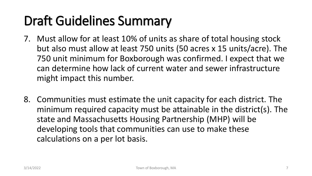- 7. Must allow for at least 10% of units as share of total housing stock but also must allow at least 750 units (50 acres x 15 units/acre). The 750 unit minimum for Boxborough was confirmed. I expect that we can determine how lack of current water and sewer infrastructure might impact this number.
- 8. Communities must estimate the unit capacity for each district. The minimum required capacity must be attainable in the district(s). The state and Massachusetts Housing Partnership (MHP) will be developing tools that communities can use to make these calculations on a per lot basis.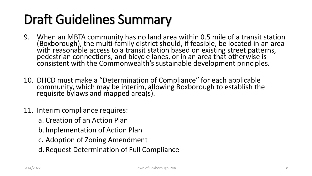- 9. When an MBTA community has no land area within 0.5 mile of a transit station (Boxborough), the multi-family district should, if feasible, be located in an area with reasonable access to a transit station based on existing street patterns, pedestrian connections, and bicycle lanes, or in an area that otherwise is consistent with the Commonwealth's sustainable development principles.
- 10. DHCD must make a "Determination of Compliance" for each applicable community, which may be interim, allowing Boxborough to establish the requisite bylaws and mapped area(s).
- 11. Interim compliance requires:
	- a. Creation of an Action Plan
	- b. Implementation of Action Plan
	- c. Adoption of Zoning Amendment
	- d. Request Determination of Full Compliance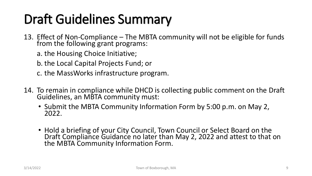- 13. Effect of Non-Compliance The MBTA community will not be eligible for funds from the following grant programs:
	- a. the Housing Choice Initiative;
	- b. the Local Capital Projects Fund; or
	- c. the MassWorks infrastructure program.
- 14. To remain in compliance while DHCD is collecting public comment on the Draft Guidelines, an MBTA community must:
	- Submit the MBTA Community Information Form by 5:00 p.m. on May 2, 2022.
	- Hold a briefing of your City Council, Town Council or Select Board on the Draft Compliance Guidance no later than May 2, 2022 and attest to that on the MBTA Community Information Form.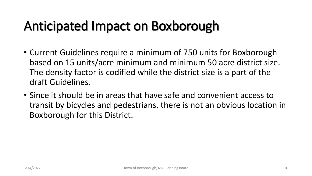#### Anticipated Impact on Boxborough

- Current Guidelines require a minimum of 750 units for Boxborough based on 15 units/acre minimum and minimum 50 acre district size. The density factor is codified while the district size is a part of the draft Guidelines.
- Since it should be in areas that have safe and convenient access to transit by bicycles and pedestrians, there is not an obvious location in Boxborough for this District.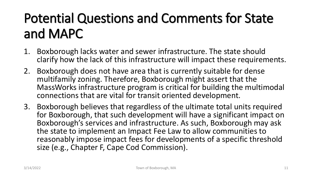## Potential Questions and Comments for State and MAPC

- 1. Boxborough lacks water and sewer infrastructure. The state should clarify how the lack of this infrastructure will impact these requirements.
- 2. Boxborough does not have area that is currently suitable for dense multifamily zoning. Therefore, Boxborough might assert that the MassWorks infrastructure program is critical for building the multimodal connections that are vital for transit oriented development.
- 3. Boxborough believes that regardless of the ultimate total units required for Boxborough, that such development will have a significant impact on Boxborough's services and infrastructure. As such, Boxborough may ask the state to implement an Impact Fee Law to allow communities to reasonably impose impact fees for developments of a specific threshold size (e.g., Chapter F, Cape Cod Commission).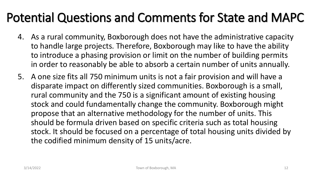#### Potential Questions and Comments for State and MAPC

- 4. As a rural community, Boxborough does not have the administrative capacity to handle large projects. Therefore, Boxborough may like to have the ability to introduce a phasing provision or limit on the number of building permits in order to reasonably be able to absorb a certain number of units annually.
- 5. A one size fits all 750 minimum units is not a fair provision and will have a disparate impact on differently sized communities. Boxborough is a small, rural community and the 750 is a significant amount of existing housing stock and could fundamentally change the community. Boxborough might propose that an alternative methodology for the number of units. This should be formula driven based on specific criteria such as total housing stock. It should be focused on a percentage of total housing units divided by the codified minimum density of 15 units/acre.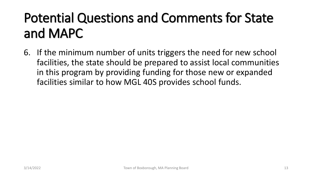## Potential Questions and Comments for State and MAPC

6. If the minimum number of units triggers the need for new school facilities, the state should be prepared to assist local communities in this program by providing funding for those new or expanded facilities similar to how MGL 40S provides school funds.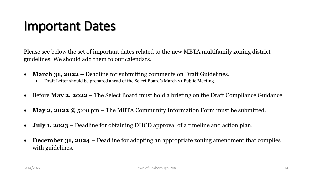#### Important Dates

Please see below the set of important dates related to the new MBTA multifamily zoning district guidelines. We should add them to our calendars.

- **March 31, 2022** Deadline for submitting comments on Draft Guidelines.
	- Draft Letter should be prepared ahead of the Select Board's March 21 Public Meeting.
- Before **May 2, 2022** The Select Board must hold a briefing on the Draft Compliance Guidance.
- **May 2, 2022** @ 5:00 pm The MBTA Community Information Form must be submitted.
- **July 1, 2023** Deadline for obtaining DHCD approval of a timeline and action plan.
- **December 31, 2024** Deadline for adopting an appropriate zoning amendment that complies with guidelines.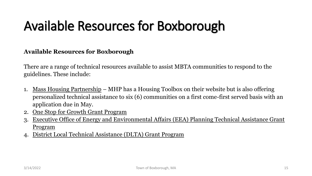## Available Resources for Boxborough

**Available Resources for Boxborough**

There are a range of technical resources available to assist MBTA communities to respond to the guidelines. These include:

- 1. Mass Housing Partnership MHP has a Housing Toolbox on their website but is also offering personalized technical assistance to six (6) communities on a first come-first served basis with an application due in May.
- 2. One Stop for Growth Grant Program
- 3. Executive Office of Energy and Environmental Affairs (EEA) Planning Technical Assistance Grant Program
- 4. District Local Technical Assistance (DLTA) Grant Program